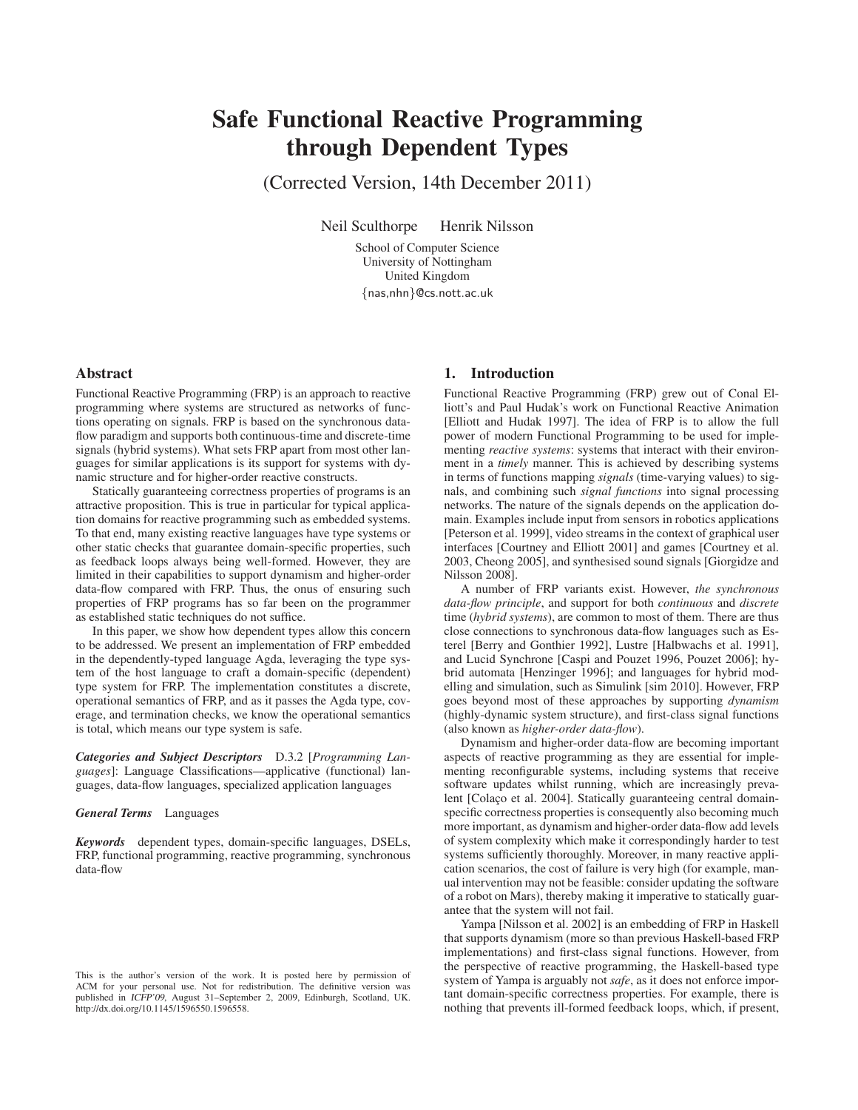# Safe Functional Reactive Programming through Dependent Types

(Corrected Version, 14th December 2011)

Neil Sculthorpe Henrik Nilsson

School of Computer Science University of Nottingham United Kingdom {nas,nhn}@cs.nott.ac.uk

## Abstract

Functional Reactive Programming (FRP) is an approach to reactive programming where systems are structured as networks of functions operating on signals. FRP is based on the synchronous dataflow paradigm and supports both continuous-time and discrete-time signals (hybrid systems). What sets FRP apart from most other languages for similar applications is its support for systems with dynamic structure and for higher-order reactive constructs.

Statically guaranteeing correctness properties of programs is an attractive proposition. This is true in particular for typical application domains for reactive programming such as embedded systems. To that end, many existing reactive languages have type systems or other static checks that guarantee domain-specific properties, such as feedback loops always being well-formed. However, they are limited in their capabilities to support dynamism and higher-order data-flow compared with FRP. Thus, the onus of ensuring such properties of FRP programs has so far been on the programmer as established static techniques do not suffice.

In this paper, we show how dependent types allow this concern to be addressed. We present an implementation of FRP embedded in the dependently-typed language Agda, leveraging the type system of the host language to craft a domain-specific (dependent) type system for FRP. The implementation constitutes a discrete, operational semantics of FRP, and as it passes the Agda type, coverage, and termination checks, we know the operational semantics is total, which means our type system is safe.

*Categories and Subject Descriptors* D.3.2 [*Programming Languages*]: Language Classifications—applicative (functional) languages, data-flow languages, specialized application languages

#### *General Terms* Languages

*Keywords* dependent types, domain-specific languages, DSELs, FRP, functional programming, reactive programming, synchronous data-flow

## 1. Introduction

Functional Reactive Programming (FRP) grew out of Conal Elliott's and Paul Hudak's work on Functional Reactive Animation [Elliott and Hudak 1997]. The idea of FRP is to allow the full power of modern Functional Programming to be used for implementing *reactive systems*: systems that interact with their environment in a *timely* manner. This is achieved by describing systems in terms of functions mapping *signals* (time-varying values) to signals, and combining such *signal functions* into signal processing networks. The nature of the signals depends on the application domain. Examples include input from sensors in robotics applications [Peterson et al. 1999], video streams in the context of graphical user interfaces [Courtney and Elliott 2001] and games [Courtney et al. 2003, Cheong 2005], and synthesised sound signals [Giorgidze and Nilsson 2008].

A number of FRP variants exist. However, *the synchronous data-flow principle*, and support for both *continuous* and *discrete* time (*hybrid systems*), are common to most of them. There are thus close connections to synchronous data-flow languages such as Esterel [Berry and Gonthier 1992], Lustre [Halbwachs et al. 1991], and Lucid Synchrone [Caspi and Pouzet 1996, Pouzet 2006]; hybrid automata [Henzinger 1996]; and languages for hybrid modelling and simulation, such as Simulink [sim 2010]. However, FRP goes beyond most of these approaches by supporting *dynamism* (highly-dynamic system structure), and first-class signal functions (also known as *higher-order data-flow*).

Dynamism and higher-order data-flow are becoming important aspects of reactive programming as they are essential for implementing reconfigurable systems, including systems that receive software updates whilst running, which are increasingly prevalent [Colaço et al. 2004]. Statically guaranteeing central domainspecific correctness properties is consequently also becoming much more important, as dynamism and higher-order data-flow add levels of system complexity which make it correspondingly harder to test systems sufficiently thoroughly. Moreover, in many reactive application scenarios, the cost of failure is very high (for example, manual intervention may not be feasible: consider updating the software of a robot on Mars), thereby making it imperative to statically guarantee that the system will not fail.

Yampa [Nilsson et al. 2002] is an embedding of FRP in Haskell that supports dynamism (more so than previous Haskell-based FRP implementations) and first-class signal functions. However, from the perspective of reactive programming, the Haskell-based type system of Yampa is arguably not *safe*, as it does not enforce important domain-specific correctness properties. For example, there is nothing that prevents ill-formed feedback loops, which, if present,

This is the author's version of the work. It is posted here by permission of ACM for your personal use. Not for redistribution. The definitive version was published in ICFP'09, August 31–September 2, 2009, Edinburgh, Scotland, UK. http://dx.doi.org/10.1145/1596550.1596558.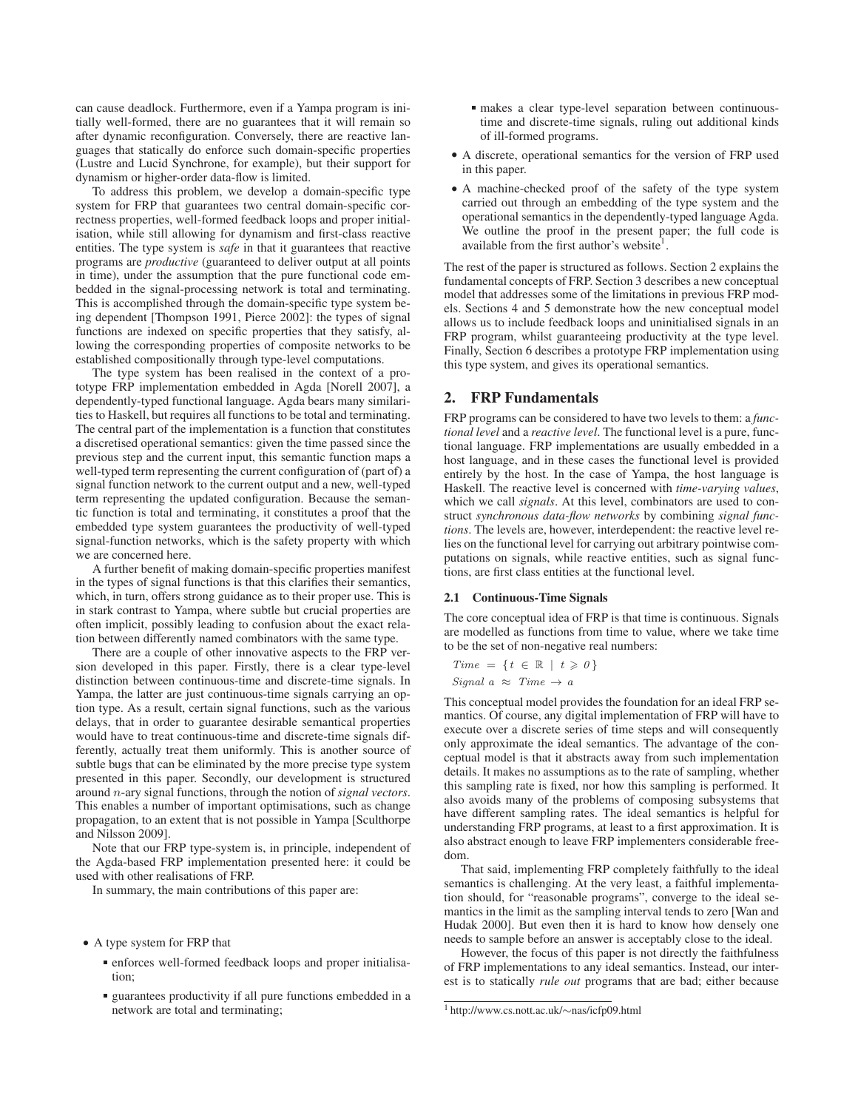can cause deadlock. Furthermore, even if a Yampa program is initially well-formed, there are no guarantees that it will remain so after dynamic reconfiguration. Conversely, there are reactive languages that statically do enforce such domain-specific properties (Lustre and Lucid Synchrone, for example), but their support for dynamism or higher-order data-flow is limited.

To address this problem, we develop a domain-specific type system for FRP that guarantees two central domain-specific correctness properties, well-formed feedback loops and proper initialisation, while still allowing for dynamism and first-class reactive entities. The type system is *safe* in that it guarantees that reactive programs are *productive* (guaranteed to deliver output at all points in time), under the assumption that the pure functional code embedded in the signal-processing network is total and terminating. This is accomplished through the domain-specific type system being dependent [Thompson 1991, Pierce 2002]: the types of signal functions are indexed on specific properties that they satisfy, allowing the corresponding properties of composite networks to be established compositionally through type-level computations.

The type system has been realised in the context of a prototype FRP implementation embedded in Agda [Norell 2007], a dependently-typed functional language. Agda bears many similarities to Haskell, but requires all functions to be total and terminating. The central part of the implementation is a function that constitutes a discretised operational semantics: given the time passed since the previous step and the current input, this semantic function maps a well-typed term representing the current configuration of (part of) a signal function network to the current output and a new, well-typed term representing the updated configuration. Because the semantic function is total and terminating, it constitutes a proof that the embedded type system guarantees the productivity of well-typed signal-function networks, which is the safety property with which we are concerned here.

A further benefit of making domain-specific properties manifest in the types of signal functions is that this clarifies their semantics, which, in turn, offers strong guidance as to their proper use. This is in stark contrast to Yampa, where subtle but crucial properties are often implicit, possibly leading to confusion about the exact relation between differently named combinators with the same type.

There are a couple of other innovative aspects to the FRP version developed in this paper. Firstly, there is a clear type-level distinction between continuous-time and discrete-time signals. In Yampa, the latter are just continuous-time signals carrying an option type. As a result, certain signal functions, such as the various delays, that in order to guarantee desirable semantical properties would have to treat continuous-time and discrete-time signals differently, actually treat them uniformly. This is another source of subtle bugs that can be eliminated by the more precise type system presented in this paper. Secondly, our development is structured around n-ary signal functions, through the notion of *signal vectors*. This enables a number of important optimisations, such as change propagation, to an extent that is not possible in Yampa [Sculthorpe and Nilsson 2009].

Note that our FRP type-system is, in principle, independent of the Agda-based FRP implementation presented here: it could be used with other realisations of FRP.

In summary, the main contributions of this paper are:

• A type system for FRP that

- enforces well-formed feedback loops and proper initialisation;
- guarantees productivity if all pure functions embedded in a network are total and terminating;
- makes a clear type-level separation between continuoustime and discrete-time signals, ruling out additional kinds of ill-formed programs.
- A discrete, operational semantics for the version of FRP used in this paper.
- A machine-checked proof of the safety of the type system carried out through an embedding of the type system and the operational semantics in the dependently-typed language Agda. We outline the proof in the present paper; the full code is available from the first author's website<sup>1</sup>.

The rest of the paper is structured as follows. Section 2 explains the fundamental concepts of FRP. Section 3 describes a new conceptual model that addresses some of the limitations in previous FRP models. Sections 4 and 5 demonstrate how the new conceptual model allows us to include feedback loops and uninitialised signals in an FRP program, whilst guaranteeing productivity at the type level. Finally, Section 6 describes a prototype FRP implementation using this type system, and gives its operational semantics.

# 2. FRP Fundamentals

FRP programs can be considered to have two levels to them: a *functional level* and a *reactive level*. The functional level is a pure, functional language. FRP implementations are usually embedded in a host language, and in these cases the functional level is provided entirely by the host. In the case of Yampa, the host language is Haskell. The reactive level is concerned with *time-varying values*, which we call *signals*. At this level, combinators are used to construct *synchronous data-flow networks* by combining *signal functions*. The levels are, however, interdependent: the reactive level relies on the functional level for carrying out arbitrary pointwise computations on signals, while reactive entities, such as signal functions, are first class entities at the functional level.

## 2.1 Continuous-Time Signals

The core conceptual idea of FRP is that time is continuous. Signals are modelled as functions from time to value, where we take time to be the set of non-negative real numbers:

$$
Time = \{ t \in \mathbb{R} \mid t \geq 0 \}
$$
  
Signal  $a \approx Time \rightarrow a$ 

This conceptual model provides the foundation for an ideal FRP semantics. Of course, any digital implementation of FRP will have to execute over a discrete series of time steps and will consequently only approximate the ideal semantics. The advantage of the conceptual model is that it abstracts away from such implementation details. It makes no assumptions as to the rate of sampling, whether this sampling rate is fixed, nor how this sampling is performed. It also avoids many of the problems of composing subsystems that have different sampling rates. The ideal semantics is helpful for understanding FRP programs, at least to a first approximation. It is also abstract enough to leave FRP implementers considerable freedom.

That said, implementing FRP completely faithfully to the ideal semantics is challenging. At the very least, a faithful implementation should, for "reasonable programs", converge to the ideal semantics in the limit as the sampling interval tends to zero [Wan and Hudak 2000]. But even then it is hard to know how densely one needs to sample before an answer is acceptably close to the ideal.

However, the focus of this paper is not directly the faithfulness of FRP implementations to any ideal semantics. Instead, our interest is to statically *rule out* programs that are bad; either because

<sup>1</sup> http://www.cs.nott.ac.uk/∼nas/icfp09.html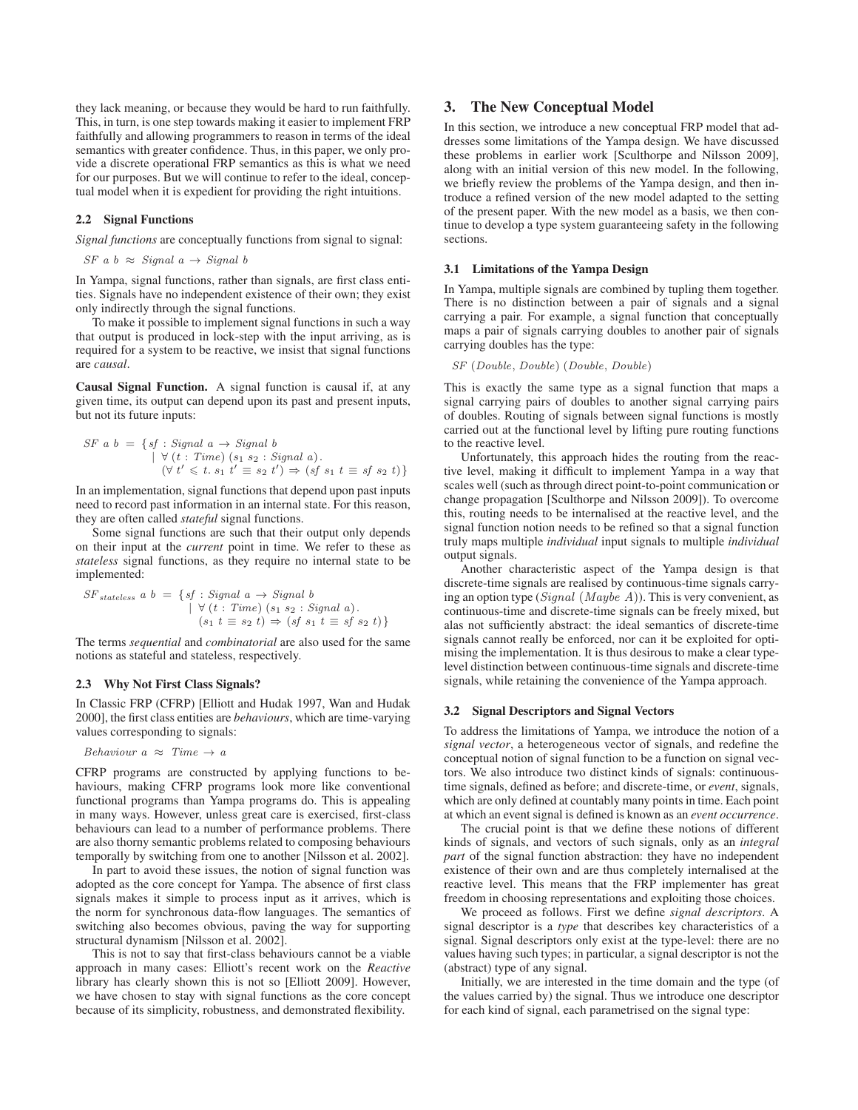they lack meaning, or because they would be hard to run faithfully. This, in turn, is one step towards making it easier to implement FRP faithfully and allowing programmers to reason in terms of the ideal semantics with greater confidence. Thus, in this paper, we only provide a discrete operational FRP semantics as this is what we need for our purposes. But we will continue to refer to the ideal, conceptual model when it is expedient for providing the right intuitions.

#### 2.2 Signal Functions

*Signal functions* are conceptually functions from signal to signal:

 $SF \, a \, b \approx Signal \, a \rightarrow Signal \, b$ 

In Yampa, signal functions, rather than signals, are first class entities. Signals have no independent existence of their own; they exist only indirectly through the signal functions.

To make it possible to implement signal functions in such a way that output is produced in lock-step with the input arriving, as is required for a system to be reactive, we insist that signal functions are *causal*.

Causal Signal Function. A signal function is causal if, at any given time, its output can depend upon its past and present inputs, but not its future inputs:

$$
SF \ a \ b = \{sf: Signal \ a \rightarrow Signal \ b
$$
  
\n
$$
\forall (t : Time) (s_1 \ s_2 : Signal \ a).
$$
  
\n
$$
(\forall t' \leq t \ s_1 \ t' \equiv s_2 \ t') \Rightarrow (sf \ s_1 \ t \equiv sf \ s_2 \ t)\}
$$

In an implementation, signal functions that depend upon past inputs need to record past information in an internal state. For this reason, they are often called *stateful* signal functions.

Some signal functions are such that their output only depends on their input at the *current* point in time. We refer to these as *stateless* signal functions, as they require no internal state to be implemented:

$$
SF_{stateless} a b = \{sf \{sf} : Signal a \rightarrow Signal b
$$
  

$$
\forall (t : Time) (s_1 s_2 : Signal a).
$$
  

$$
(s_1 t \equiv s_2 t) \Rightarrow (sf \ s_1 t \equiv sf \ s_2 t)\}
$$

The terms *sequential* and *combinatorial* are also used for the same notions as stateful and stateless, respectively.

#### 2.3 Why Not First Class Signals?

In Classic FRP (CFRP) [Elliott and Hudak 1997, Wan and Hudak 2000], the first class entities are *behaviours*, which are time-varying values corresponding to signals:

$$
Behavior \ a \ \approx \ Time \ \rightarrow \ a
$$

CFRP programs are constructed by applying functions to behaviours, making CFRP programs look more like conventional functional programs than Yampa programs do. This is appealing in many ways. However, unless great care is exercised, first-class behaviours can lead to a number of performance problems. There are also thorny semantic problems related to composing behaviours temporally by switching from one to another [Nilsson et al. 2002].

In part to avoid these issues, the notion of signal function was adopted as the core concept for Yampa. The absence of first class signals makes it simple to process input as it arrives, which is the norm for synchronous data-flow languages. The semantics of switching also becomes obvious, paving the way for supporting structural dynamism [Nilsson et al. 2002].

This is not to say that first-class behaviours cannot be a viable approach in many cases: Elliott's recent work on the *Reactive* library has clearly shown this is not so [Elliott 2009]. However, we have chosen to stay with signal functions as the core concept because of its simplicity, robustness, and demonstrated flexibility.

# 3. The New Conceptual Model

In this section, we introduce a new conceptual FRP model that addresses some limitations of the Yampa design. We have discussed these problems in earlier work [Sculthorpe and Nilsson 2009], along with an initial version of this new model. In the following, we briefly review the problems of the Yampa design, and then introduce a refined version of the new model adapted to the setting of the present paper. With the new model as a basis, we then continue to develop a type system guaranteeing safety in the following sections.

### 3.1 Limitations of the Yampa Design

In Yampa, multiple signals are combined by tupling them together. There is no distinction between a pair of signals and a signal carrying a pair. For example, a signal function that conceptually maps a pair of signals carrying doubles to another pair of signals carrying doubles has the type:

#### SF (Double, Double) (Double, Double)

This is exactly the same type as a signal function that maps a signal carrying pairs of doubles to another signal carrying pairs of doubles. Routing of signals between signal functions is mostly carried out at the functional level by lifting pure routing functions to the reactive level.

Unfortunately, this approach hides the routing from the reactive level, making it difficult to implement Yampa in a way that scales well (such as through direct point-to-point communication or change propagation [Sculthorpe and Nilsson 2009]). To overcome this, routing needs to be internalised at the reactive level, and the signal function notion needs to be refined so that a signal function truly maps multiple *individual* input signals to multiple *individual* output signals.

Another characteristic aspect of the Yampa design is that discrete-time signals are realised by continuous-time signals carrying an option type (Signal (Maybe A)). This is very convenient, as continuous-time and discrete-time signals can be freely mixed, but alas not sufficiently abstract: the ideal semantics of discrete-time signals cannot really be enforced, nor can it be exploited for optimising the implementation. It is thus desirous to make a clear typelevel distinction between continuous-time signals and discrete-time signals, while retaining the convenience of the Yampa approach.

#### 3.2 Signal Descriptors and Signal Vectors

To address the limitations of Yampa, we introduce the notion of a *signal vector*, a heterogeneous vector of signals, and redefine the conceptual notion of signal function to be a function on signal vectors. We also introduce two distinct kinds of signals: continuoustime signals, defined as before; and discrete-time, or *event*, signals, which are only defined at countably many points in time. Each point at which an event signal is defined is known as an *event occurrence*.

The crucial point is that we define these notions of different kinds of signals, and vectors of such signals, only as an *integral part* of the signal function abstraction: they have no independent existence of their own and are thus completely internalised at the reactive level. This means that the FRP implementer has great freedom in choosing representations and exploiting those choices.

We proceed as follows. First we define *signal descriptors*. A signal descriptor is a *type* that describes key characteristics of a signal. Signal descriptors only exist at the type-level: there are no values having such types; in particular, a signal descriptor is not the (abstract) type of any signal.

Initially, we are interested in the time domain and the type (of the values carried by) the signal. Thus we introduce one descriptor for each kind of signal, each parametrised on the signal type: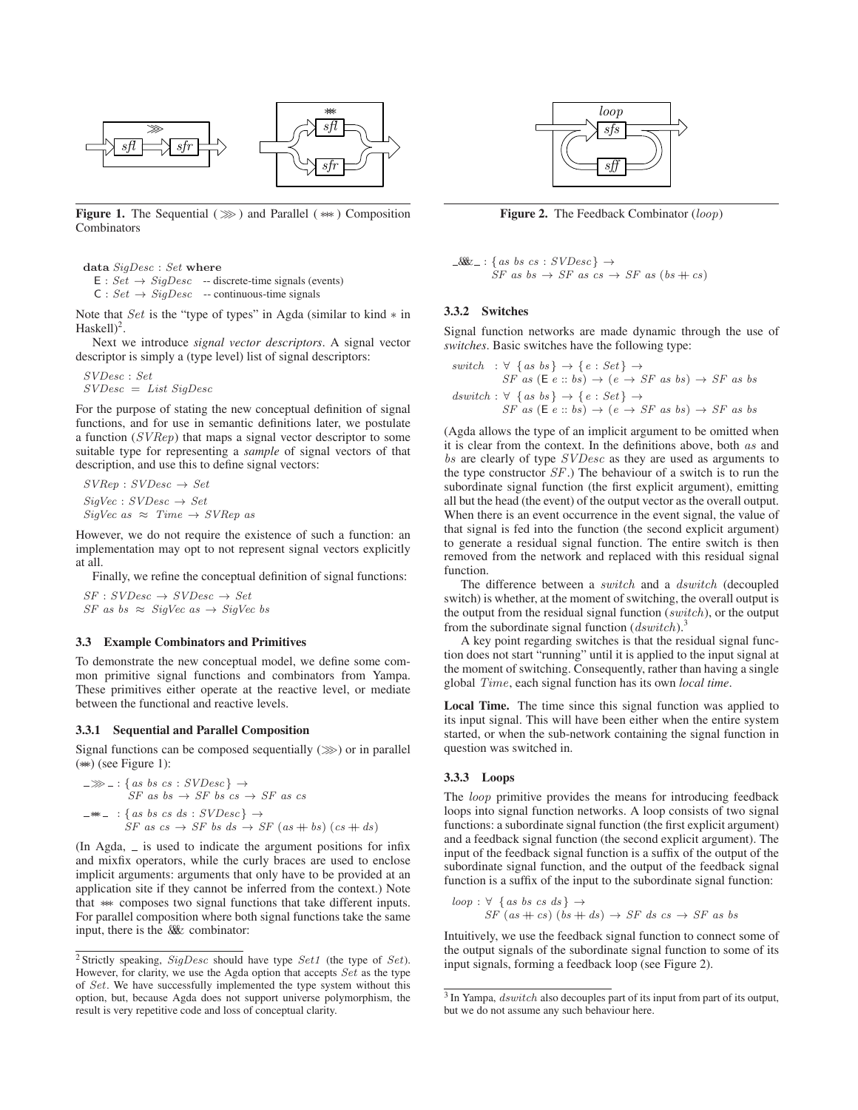

Figure 1. The Sequential (≫) and Parallel ( ∗∗∗ ) Composition Combinators

data SigDesc : Set where

 $E: Set \rightarrow SigDesc$  -- discrete-time signals (events)

 $C: Set \rightarrow SigDesc$  -- continuous-time signals

Note that  $Set$  is the "type of types" in Agda (similar to kind  $*$  in Haskell $)^2$ .

Next we introduce *signal vector descriptors*. A signal vector descriptor is simply a (type level) list of signal descriptors:

SVDesc : Set  $SVDesc = List SigDesc$ 

For the purpose of stating the new conceptual definition of signal functions, and for use in semantic definitions later, we postulate a function (SVRep) that maps a signal vector descriptor to some suitable type for representing a *sample* of signal vectors of that description, and use this to define signal vectors:

 $\textit{SVRep}: \textit{SVDesc} \rightarrow \textit{Set}$  $SigVec$  :  $SVDesc$   $\rightarrow$   $Set$  $SigVec$  as  $\approx$  Time  $\rightarrow$  SVRep as

However, we do not require the existence of such a function: an implementation may opt to not represent signal vectors explicitly at all.

Finally, we refine the conceptual definition of signal functions:

 $SF : SVDesc \rightarrow SVDesc \rightarrow Set$  $SF$  as bs  $\approx$  SigVec as  $\rightarrow$  SigVec bs

### 3.3 Example Combinators and Primitives

To demonstrate the new conceptual model, we define some common primitive signal functions and combinators from Yampa. These primitives either operate at the reactive level, or mediate between the functional and reactive levels.

#### 3.3.1 Sequential and Parallel Composition

Signal functions can be composed sequentially  $(\gg)$  or in parallel (∗∗∗) (see Figure 1):

$$
\begin{aligned}\n& -\ggg -: \{ \text{as bs cs} : SVDesc \} \rightarrow \\
& SF \text{ as bs} \rightarrow SF \text{ bs cs} \rightarrow SF \text{ as cs} \\
\rightarrow & \{ \text{as bs cs ds} : SVDesc \} \rightarrow \\
& SF \text{ as cs} \rightarrow SF \text{ bs ds} \rightarrow SF \text{ (as + bs)} \text{ (cs + ds)}\n\end{aligned}
$$

(In Agda,  $\overline{\phantom{a}}$  is used to indicate the argument positions for infix and mixfix operators, while the curly braces are used to enclose implicit arguments: arguments that only have to be provided at an application site if they cannot be inferred from the context.) Note that ∗∗∗ composes two signal functions that take different inputs. For parallel composition where both signal functions take the same input, there is the &&& combinator:



Figure 2. The Feedback Combinator (loop)

 $\&L$  : {as bs cs : SVDesc}  $\rightarrow$  $SF$  as  $bs \rightarrow SF$  as  $cs \rightarrow SF$  as  $(bs + cs)$ 

### 3.3.2 Switches

Signal function networks are made dynamic through the use of *switches*. Basic switches have the following type:

$$
switch : \forall \{ as \ bs\} \rightarrow \{e : Set\} \rightarrow
$$
  
\n
$$
SF \ as \ (\mathsf{E} \ e :: bs) \rightarrow (e \rightarrow SF \ as \ bs) \rightarrow SF \ as \ bs
$$
  
\n
$$
dswitch : \forall \{ as \ bs\} \rightarrow \{e : Set\} \rightarrow
$$
  
\n
$$
SF \ as \ (\mathsf{E} \ e :: bs) \rightarrow (e \rightarrow SF \ as \ bs) \rightarrow SF \ as \ bs
$$

(Agda allows the type of an implicit argument to be omitted when it is clear from the context. In the definitions above, both as and bs are clearly of type SVDesc as they are used as arguments to the type constructor  $SF$ .) The behaviour of a switch is to run the subordinate signal function (the first explicit argument), emitting all but the head (the event) of the output vector as the overall output. When there is an event occurrence in the event signal, the value of that signal is fed into the function (the second explicit argument) to generate a residual signal function. The entire switch is then removed from the network and replaced with this residual signal function.

The difference between a switch and a dswitch (decoupled switch) is whether, at the moment of switching, the overall output is the output from the residual signal function (switch), or the output from the subordinate signal function  $(dswitch)$ <sup>3</sup>

A key point regarding switches is that the residual signal function does not start "running" until it is applied to the input signal at the moment of switching. Consequently, rather than having a single global Time, each signal function has its own *local time*.

Local Time. The time since this signal function was applied to its input signal. This will have been either when the entire system started, or when the sub-network containing the signal function in question was switched in.

## 3.3.3 Loops

The *loop* primitive provides the means for introducing feedback loops into signal function networks. A loop consists of two signal functions: a subordinate signal function (the first explicit argument) and a feedback signal function (the second explicit argument). The input of the feedback signal function is a suffix of the output of the subordinate signal function, and the output of the feedback signal function is a suffix of the input to the subordinate signal function:

$$
loop: \forall \{as \; bs \; cs \; ds\} \rightarrow
$$
  
SF  $(as + cs) (bs + ds) \rightarrow SF \; ds \; cs \rightarrow SF \; as \; bs$ 

Intuitively, we use the feedback signal function to connect some of the output signals of the subordinate signal function to some of its input signals, forming a feedback loop (see Figure 2).

<sup>&</sup>lt;sup>2</sup> Strictly speaking,  $SigDesc$  should have type  $Set1$  (the type of  $Set$ ). However, for clarity, we use the Agda option that accepts Set as the type of Set. We have successfully implemented the type system without this option, but, because Agda does not support universe polymorphism, the result is very repetitive code and loss of conceptual clarity.

 $3$  In Yampa,  $dswitch$  also decouples part of its input from part of its output, but we do not assume any such behaviour here.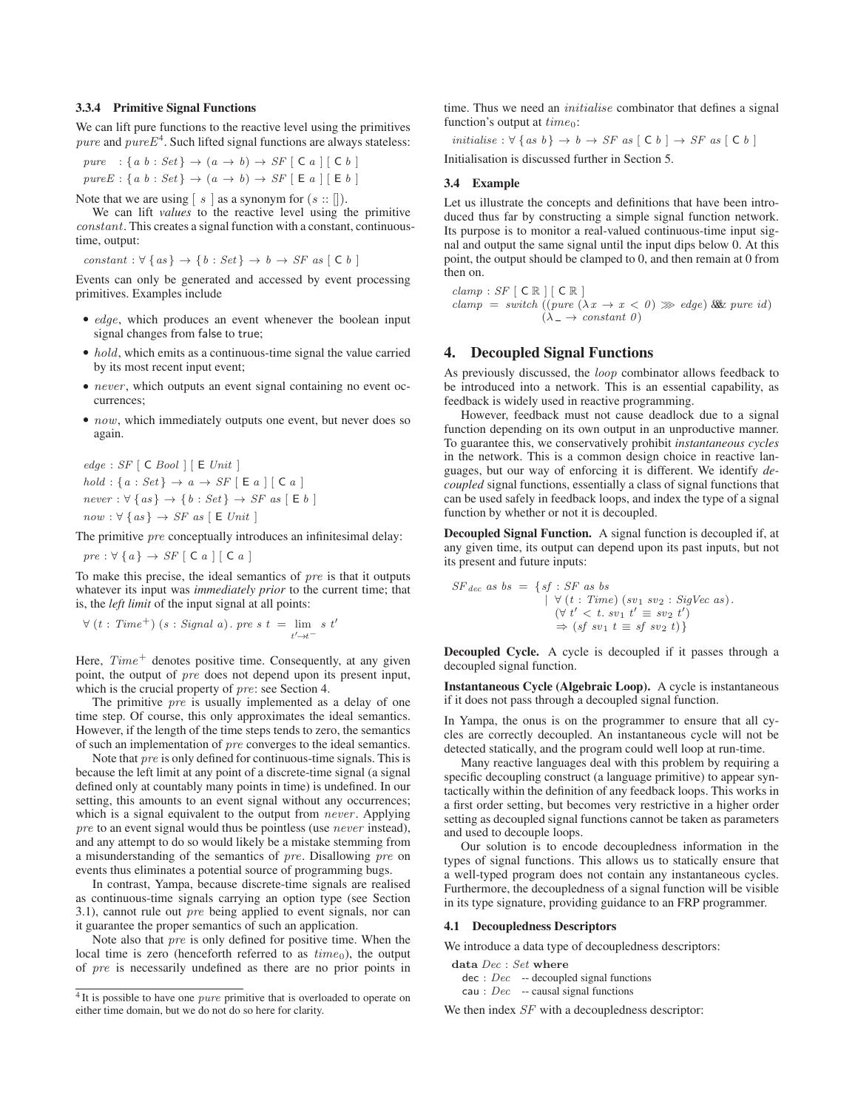## 3.3.4 Primitive Signal Functions

We can lift pure functions to the reactive level using the primitives pure and  $pureE^4$ . Such lifted signal functions are always stateless:

pure :  $\{a \; b : Set\} \rightarrow (a \rightarrow b) \rightarrow SF \; [\; C \; a \;] \; [\; C \; b \;]$  $pureE : \{ a \; b : Set \} \rightarrow (a \rightarrow b) \rightarrow SF \; \lbrack \; \; \mathsf{E} \; a \; \rbrack \; \lbrack \; \; \mathsf{E} \; b \; \rbrack$ 

Note that we are using  $[s \rceil$  as a synonym for  $(s :: [])$ .

We can lift *values* to the reactive level using the primitive constant. This creates a signal function with a constant, continuoustime, output:

$$
constant: \forall \{ as \} \rightarrow \{ b : Set \} \rightarrow b \rightarrow SF \text{ as } [C b]
$$

Events can only be generated and accessed by event processing primitives. Examples include

- edge, which produces an event whenever the boolean input signal changes from false to true;
- hold, which emits as a continuous-time signal the value carried by its most recent input event;
- $\bullet$  never, which outputs an event signal containing no event occurrences;
- $now$ , which immediately outputs one event, but never does so again.

 $edge : SF \mid C \; Bool \mid [ \; E \; Unit \; ]$  $hold: \{a: Set\} \rightarrow a \rightarrow SF \mid E \mid a \mid C \mid a \mid$  $never : \forall \{as\} \rightarrow \{b : Set\} \rightarrow SF \; as \; \lceil \; \mathsf{E} \; b \; \rceil$  $now : \forall \{as\} \rightarrow SF \text{ as } [\mathsf{E} \text{ Unit } ]$ 

The primitive *pre* conceptually introduces an infinitesimal delay:

 $\text{pre} : \forall \{a\} \rightarrow \text{SF} \; [\; \mathsf{C} \; a \;] \; [\; \mathsf{C} \; a \;]$ 

To make this precise, the ideal semantics of pre is that it outputs whatever its input was *immediately prior* to the current time; that is, the *left limit* of the input signal at all points:

$$
\forall (t:\mathit{Time}^+)\ (s:\mathit{Signal}\ a)\ldotp pre\ s\ t\ =\ \lim_{t'\to t^-}\ s\ t'
$$

Here,  $Time<sup>+</sup>$  denotes positive time. Consequently, at any given point, the output of pre does not depend upon its present input, which is the crucial property of pre: see Section 4.

The primitive *pre* is usually implemented as a delay of one time step. Of course, this only approximates the ideal semantics. However, if the length of the time steps tends to zero, the semantics of such an implementation of pre converges to the ideal semantics.

Note that pre is only defined for continuous-time signals. This is because the left limit at any point of a discrete-time signal (a signal defined only at countably many points in time) is undefined. In our setting, this amounts to an event signal without any occurrences; which is a signal equivalent to the output from *never*. Applying pre to an event signal would thus be pointless (use *never* instead), and any attempt to do so would likely be a mistake stemming from a misunderstanding of the semantics of pre. Disallowing pre on events thus eliminates a potential source of programming bugs.

In contrast, Yampa, because discrete-time signals are realised as continuous-time signals carrying an option type (see Section 3.1), cannot rule out pre being applied to event signals, nor can it guarantee the proper semantics of such an application.

Note also that *pre* is only defined for positive time. When the local time is zero (henceforth referred to as  $time_0$ ), the output of pre is necessarily undefined as there are no prior points in time. Thus we need an *initialise* combinator that defines a signal function's output at  $time_0$ :

initialise :  $\forall \{ as \ b\} \rightarrow b \rightarrow SF \ as \ [C \ b \ ] \rightarrow SF \ as \ [C \ b \ ]$ 

Initialisation is discussed further in Section 5.

# 3.4 Example

Let us illustrate the concepts and definitions that have been introduced thus far by constructing a simple signal function network. Its purpose is to monitor a real-valued continuous-time input signal and output the same signal until the input dips below 0. At this point, the output should be clamped to 0, and then remain at 0 from then on.

 $clamp: SF \,[C \mathbb{R} \,]\,[C \mathbb{R} \,]$ clamp = switch  $((pure \(\lambda x \rightarrow x \& 0) \gg edge)$  & pure id)  $(\lambda_{-} \rightarrow constant 0)$ 

# 4. Decoupled Signal Functions

As previously discussed, the loop combinator allows feedback to be introduced into a network. This is an essential capability, as feedback is widely used in reactive programming.

However, feedback must not cause deadlock due to a signal function depending on its own output in an unproductive manner. To guarantee this, we conservatively prohibit *instantaneous cycles* in the network. This is a common design choice in reactive languages, but our way of enforcing it is different. We identify *decoupled* signal functions, essentially a class of signal functions that can be used safely in feedback loops, and index the type of a signal function by whether or not it is decoupled.

Decoupled Signal Function. A signal function is decoupled if, at any given time, its output can depend upon its past inputs, but not its present and future inputs:

$$
SF_{dec} as bs = \{sf \in \{sf \} : SF \ as \ bs
$$
  
 
$$
\forall (t : Time) (sv_1 sv_2 : SigVec as).
$$
  
 
$$
(\forall t' < t. sv_1 t' \equiv sv_2 t')
$$
  
 
$$
\Rightarrow (sf \ sv_1 t \equiv sf \ sv_2 t)\}
$$

Decoupled Cycle. A cycle is decoupled if it passes through a decoupled signal function.

Instantaneous Cycle (Algebraic Loop). A cycle is instantaneous if it does not pass through a decoupled signal function.

In Yampa, the onus is on the programmer to ensure that all cycles are correctly decoupled. An instantaneous cycle will not be detected statically, and the program could well loop at run-time.

Many reactive languages deal with this problem by requiring a specific decoupling construct (a language primitive) to appear syntactically within the definition of any feedback loops. This works in a first order setting, but becomes very restrictive in a higher order setting as decoupled signal functions cannot be taken as parameters and used to decouple loops.

Our solution is to encode decoupledness information in the types of signal functions. This allows us to statically ensure that a well-typed program does not contain any instantaneous cycles. Furthermore, the decoupledness of a signal function will be visible in its type signature, providing guidance to an FRP programmer.

#### 4.1 Decoupledness Descriptors

We introduce a data type of decoupledness descriptors:

data  $Dec: Set$  where dec : Dec -- decoupled signal functions

```
cau : Dec -- causal signal functions
```
We then index  $SF$  with a decoupledness descriptor:

 $4$  It is possible to have one *pure* primitive that is overloaded to operate on either time domain, but we do not do so here for clarity.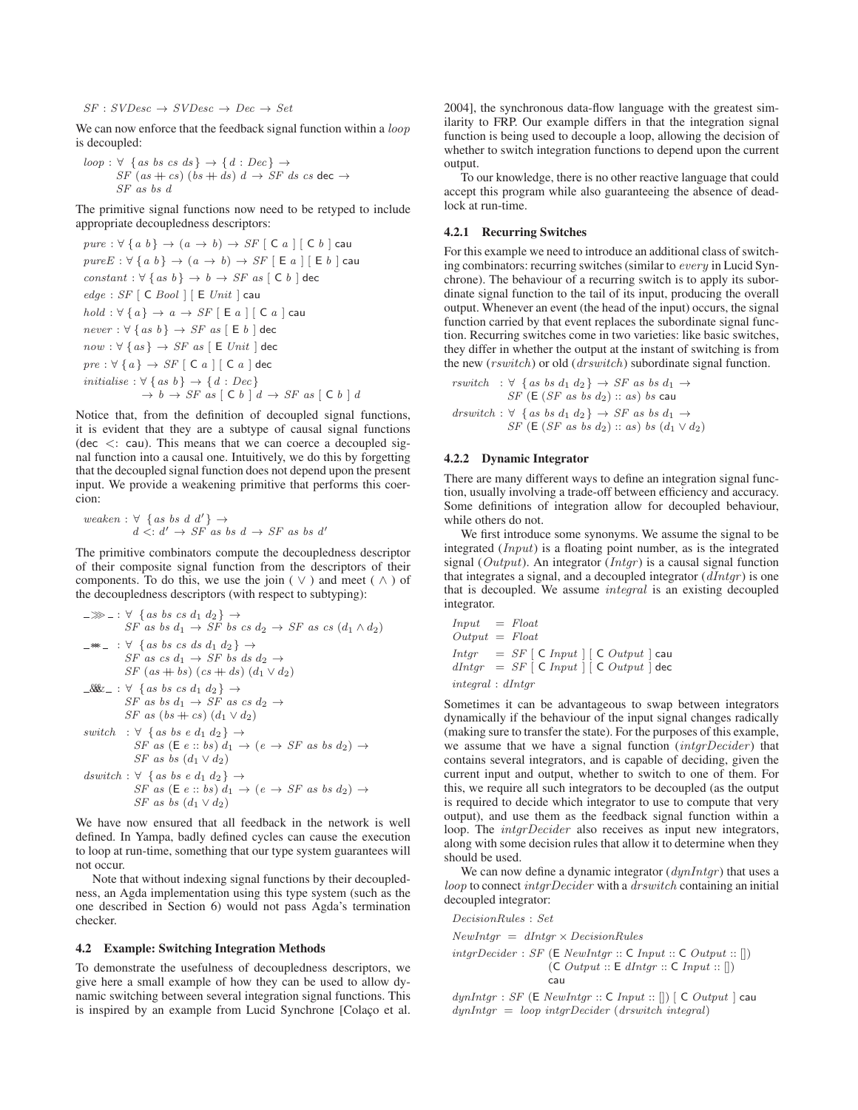## $SF : SVDesc \rightarrow SVDesc \rightarrow Dec \rightarrow Set$

We can now enforce that the feedback signal function within a *loop* is decoupled:

$$
loop: \forall \{as \, bs \, cs \, ds\} \rightarrow \{d: Dec\} \rightarrow
$$
  
\n $SF \, (as + cs) \, (bs + ds) \, d \rightarrow SF \, ds \, cs \, dec \rightarrow$   
\n $SF \, as \, bs \, d$ 

The primitive signal functions now need to be retyped to include appropriate decoupledness descriptors:

$$
pure: \forall \{a \ b\} \rightarrow (a \rightarrow b) \rightarrow SF \mid C \ a \mid C \ b \} can
$$
\n
$$
pureE: \forall \{a \ b\} \rightarrow (a \rightarrow b) \rightarrow SF \mid E \ a \mid E \ b \} can
$$
\n
$$
constant: \forall \{as \ b\} \rightarrow b \rightarrow SF \ as \mid C \ b \} \text{dec}
$$
\n
$$
edge: SF \mid C \ Bool \mid E \ Unit \} can
$$
\n
$$
hold: \forall \{a\} \rightarrow a \rightarrow SF \mid E \ a \mid C \ a \} can
$$
\n
$$
never: \forall \{as \ b\} \rightarrow SF \ as \mid E \ b \} \text{dec}
$$
\n
$$
now: \forall \{as \} \rightarrow SF \ as \mid E \ Unit \} \text{dec}
$$
\n
$$
pre: \forall \{a\} \rightarrow SF \mid C \ a \mid C \ a \text{dec}
$$
\n
$$
initialise: \forall \{as \ b\} \rightarrow \{d : Dec\}
$$
\n
$$
\rightarrow b \rightarrow SF \ as \mid C \ b \mid d \rightarrow SF \ as \mid C \ b \mid d
$$

Notice that, from the definition of decoupled signal functions, it is evident that they are a subtype of causal signal functions (dec  $\lt$ : cau). This means that we can coerce a decoupled signal function into a causal one. Intuitively, we do this by forgetting that the decoupled signal function does not depend upon the present input. We provide a weakening primitive that performs this coercion:

$$
\begin{array}{l}\n\text{weaken}: \forall \ \{ \text{as } \text{bs } d \ d' \} \rightarrow \\
d < : d' \rightarrow SF \ \text{as } \text{bs } d \rightarrow SF \ \text{as } \text{bs } d'\n\end{array}
$$

The primitive combinators compute the decoupledness descriptor of their composite signal function from the descriptors of their components. To do this, we use the join ( $\vee$ ) and meet ( $\wedge$ ) of the decoupledness descriptors (with respect to subtyping):

$$
\begin{array}{l} \n\begin{aligned}\n &\longrightarrow\\ \n&\longrightarrow \quad & \text{if } \{as \; bs \; cs \; d_1 \; d_2\} \rightarrow \\
 &\text{if } \; as \; bs \; d_1 \rightarrow \text{SF} \; bs \; cs \; d_2 \rightarrow \text{SF} \; as \; cs \; (d_1 \wedge d_2) \\
 &\longrightarrow\\ \n&\longrightarrow \quad & \text{if } \; as \; cs \; d_1 \rightarrow \text{SF} \; bs \; ds \; d_2 \rightarrow \\
 &\text{if } \; as \; cs \; d_1 \rightarrow \text{SF} \; bs \; ds \; d_2 \rightarrow \\
 &\text{if } \; (as + bs) \; (cs + ds) \; (d_1 \vee d_2) \\
 &\longrightarrow \quad & \text{if } \; as \; bs \; d_1 \; d_2 \} \rightarrow \\
 &\text{if } \; as \; bs \; d_1 \rightarrow \text{SF} \; as \; cs \; d_2 \rightarrow \\
 &\text{if } \; as \; (bs + cs) \; (d_1 \vee d_2) \\
 &\text{switch} \; : \; \forall \; \{as \; bs \; e \; d_1 \; d_2\} \rightarrow \\
 &\text{if } \; as \; bs \; (d_1 \vee d_2) \\
 &\text{dswitch} \; : \; \forall \; \{as \; bs \; e \; d_1 \; d_2\} \rightarrow \\
 &\text{if } \; as \; bs \; (d_1 \vee d_2) \\
 &\text{dswitch} \; : \; \forall \; \{as \; bs \; e \; d_1 \; d_2\} \rightarrow \\
 &\text{if } \; as \; bs \; (d_1 \vee d_2) \\
 &\text{if } \; as \; bs \; (d_1 \vee d_2) \\
 &\longrightarrow \\
 &\text{if } \; as \; bs \; (d_1 \vee d_2) \\
 &\longrightarrow \\
 &\text{if } \; as \; bs \; (d_1 \vee d_2) \\
 &\longrightarrow \\
 &\text{if } \; as \; bs \; (d_1 \vee d_2) \\
 &\longrightarrow \\
 &\text{if } \; as \; bs \; (d_1 \vee d_2) \\
 &\longrightarrow \\
 &\text{if } \; as \; bs \; (d_1 \vee d_2) \\
 &\longrightarrow \\
 &\text{if } \; as \;
$$

We have now ensured that all feedback in the network is well defined. In Yampa, badly defined cycles can cause the execution to loop at run-time, something that our type system guarantees will not occur.

Note that without indexing signal functions by their decoupledness, an Agda implementation using this type system (such as the one described in Section 6) would not pass Agda's termination checker.

## 4.2 Example: Switching Integration Methods

To demonstrate the usefulness of decoupledness descriptors, we give here a small example of how they can be used to allow dynamic switching between several integration signal functions. This is inspired by an example from Lucid Synchrone [Colaço et al. 2004], the synchronous data-flow language with the greatest similarity to FRP. Our example differs in that the integration signal function is being used to decouple a loop, allowing the decision of whether to switch integration functions to depend upon the current output.

To our knowledge, there is no other reactive language that could accept this program while also guaranteeing the absence of deadlock at run-time.

#### 4.2.1 Recurring Switches

For this example we need to introduce an additional class of switching combinators: recurring switches (similar to every in Lucid Synchrone). The behaviour of a recurring switch is to apply its subordinate signal function to the tail of its input, producing the overall output. Whenever an event (the head of the input) occurs, the signal function carried by that event replaces the subordinate signal function. Recurring switches come in two varieties: like basic switches, they differ in whether the output at the instant of switching is from the new (rswitch) or old (drswitch) subordinate signal function.

\n
$$
\text{rswitch} : \forall \{ \text{as } \text{bs } d_1 \, d_2 \} \rightarrow \text{SF} \text{ as } \text{bs } d_1 \rightarrow \text{SF} \text{ (E (SF as bs d_2) :: as) bs} \text{ can}
$$
\n

\n\n
$$
\text{drswitch} : \forall \{ \text{as } \text{bs } d_1 \, d_2 \} \rightarrow \text{SF} \text{ as } \text{bs } d_1 \rightarrow \text{SF} \text{ (E (SF as bs d_2) :: as) bs} \text{ (d_1} \lor d_2 \text{)}
$$
\n

## 4.2.2 Dynamic Integrator

There are many different ways to define an integration signal function, usually involving a trade-off between efficiency and accuracy. Some definitions of integration allow for decoupled behaviour, while others do not.

We first introduce some synonyms. We assume the signal to be integrated (Input) is a floating point number, as is the integrated signal ( $Output$ ). An integrator ( $Intgr$ ) is a causal signal function that integrates a signal, and a decoupled integrator  $(dIntgr)$  is one that is decoupled. We assume integral is an existing decoupled integrator.

Input = Float Output = Float Intgr = SF [ C Input ] [ C Output ] cau dIntgr = SF [ C Input ] [ C Output ] dec integral : dIntgr

Sometimes it can be advantageous to swap between integrators dynamically if the behaviour of the input signal changes radically (making sure to transfer the state). For the purposes of this example, we assume that we have a signal function  $(intgrDecider)$  that contains several integrators, and is capable of deciding, given the current input and output, whether to switch to one of them. For this, we require all such integrators to be decoupled (as the output is required to decide which integrator to use to compute that very output), and use them as the feedback signal function within a loop. The intgrDecider also receives as input new integrators, along with some decision rules that allow it to determine when they should be used.

We can now define a dynamic integrator  $(dynIntgr)$  that uses a loop to connect intgrDecider with a drswitch containing an initial decoupled integrator:

$$
DecisionRules: Set
$$

 $NewIntqr = dIntqr \times DecisionRules$ 

# $intqrDecider : SF \in NewIntgr :: C Input :: C Output :: []$ (C Output ::  $E$  dIntgr :: C Input ::  $\lceil \rceil$ ) cau

 $dynIntgr : SF$  (E  $NewIntgr :: C Input :: []$ )  $[ C Output ]$  cau  $dynIntgr = loop\ integr{begin} (drswitch\ integral)$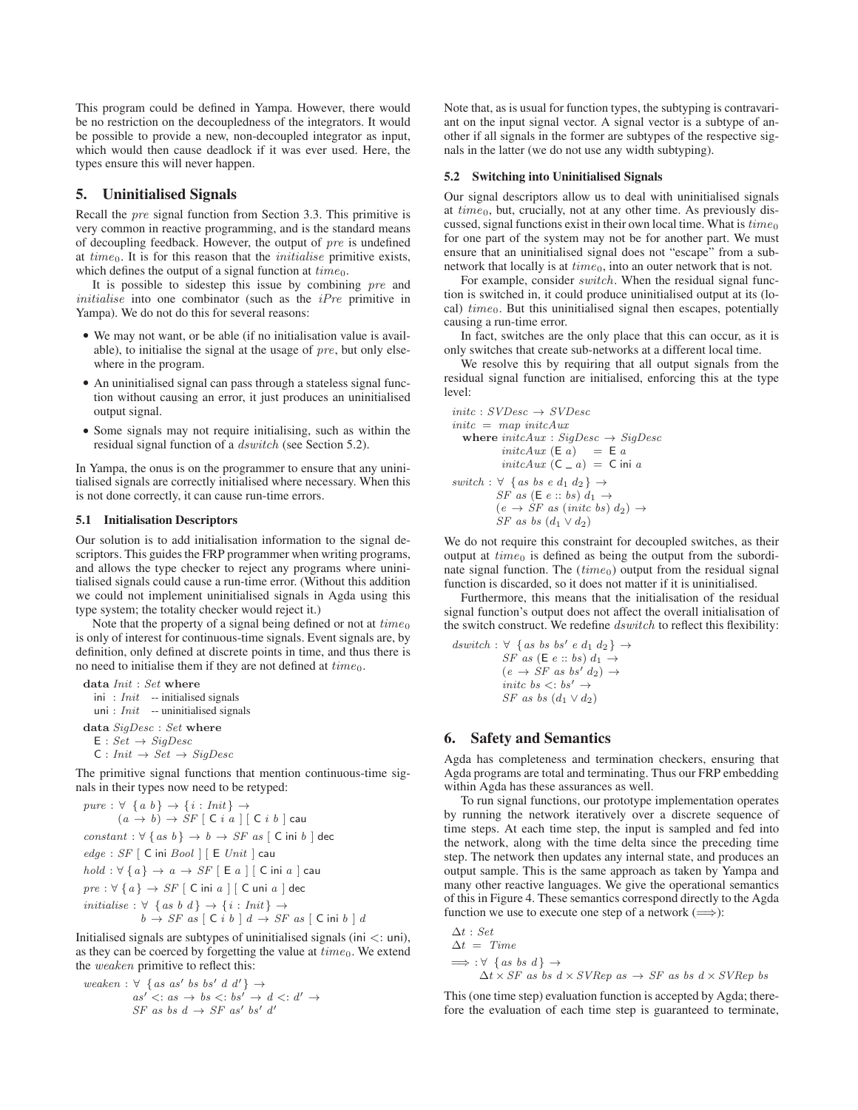This program could be defined in Yampa. However, there would be no restriction on the decoupledness of the integrators. It would be possible to provide a new, non-decoupled integrator as input, which would then cause deadlock if it was ever used. Here, the types ensure this will never happen.

## 5. Uninitialised Signals

Recall the pre signal function from Section 3.3. This primitive is very common in reactive programming, and is the standard means of decoupling feedback. However, the output of pre is undefined at  $time_0$ . It is for this reason that the *initialise* primitive exists, which defines the output of a signal function at  $time_0$ .

It is possible to sidestep this issue by combining pre and *initialise* into one combinator (such as the  $iPre$  primitive in Yampa). We do not do this for several reasons:

- We may not want, or be able (if no initialisation value is available), to initialise the signal at the usage of  $pre$ , but only elsewhere in the program.
- An uninitialised signal can pass through a stateless signal function without causing an error, it just produces an uninitialised output signal.
- Some signals may not require initialising, such as within the residual signal function of a dswitch (see Section 5.2).

In Yampa, the onus is on the programmer to ensure that any uninitialised signals are correctly initialised where necessary. When this is not done correctly, it can cause run-time errors.

#### 5.1 Initialisation Descriptors

Our solution is to add initialisation information to the signal descriptors. This guides the FRP programmer when writing programs, and allows the type checker to reject any programs where uninitialised signals could cause a run-time error. (Without this addition we could not implement uninitialised signals in Agda using this type system; the totality checker would reject it.)

Note that the property of a signal being defined or not at  $time_0$ is only of interest for continuous-time signals. Event signals are, by definition, only defined at discrete points in time, and thus there is no need to initialise them if they are not defined at  $time_0$ .

data Init : Set where ini :  $Init$  -- initialised signals uni :  $Init$  -- uninitialised signals data SigDesc : Set where  $\mathsf{E} \,:\, \mathit{Set} \,\to\, \mathit{SigDesc}$  $C:Init \rightarrow Set \rightarrow SigDesc$ 

The primitive signal functions that mention continuous-time signals in their types now need to be retyped:

pure: 
$$
\forall
$$
 { $a$   $b$ }  $\rightarrow$  { $i$  :  $Init$ }  $\rightarrow$   
\n( $a \rightarrow b$ )  $\rightarrow$  SF [ $C$   $i$   $a$ ] [ $C$   $i$   $b$ ] cau  
\nconstant:  $\forall$  { $as$   $b$ }  $\rightarrow$   $b$   $\rightarrow$  SF  $as$  [ $C$  in  $b$ ] dec  
\nedge: SF [ $C$  in  $Bool$ ] [ $E$   $Unit$ ] cau  
\nhold:  $\forall$  { $a$ }  $\rightarrow$   $a$   $\rightarrow$  SF [ $E$   $a$  ] [ $C$  in  $a$ ] cau  
\npre:  $\forall$  { $a$ }  $\rightarrow$  SF [ $C$  in  $a$  ] [ $C$  un  $a$ ] dec  
\n*initialise*:  $\forall$  { $as$   $b$   $d$ }  $\rightarrow$  { $i$  :  $Init$ }  $\rightarrow$   
\n $b$   $\rightarrow$  SF  $as$  [ $C$   $i$   $b$ ]  $d$   $\rightarrow$  SF  $as$  [ $C$  in  $b$ ] d

Initialised signals are subtypes of uninitialised signals (ini  $\lt$ : uni), as they can be coerced by forgetting the value at  $time_0$ . We extend the weaken primitive to reflect this:

$$
\begin{array}{l} {weaken}: \forall~ \left\{ {as\;as'\;bs\;bs'\;d\;d'} \right\} \to \\ {as'} <: {as\; \to \;bs<:bs' \to d<:d' \to} \\ {SF\;as\;bs\;d \to SF\;as'\;bs'\;d'} \end{array}
$$

Note that, as is usual for function types, the subtyping is contravariant on the input signal vector. A signal vector is a subtype of another if all signals in the former are subtypes of the respective signals in the latter (we do not use any width subtyping).

#### 5.2 Switching into Uninitialised Signals

Our signal descriptors allow us to deal with uninitialised signals at  $time_0$ , but, crucially, not at any other time. As previously discussed, signal functions exist in their own local time. What is  $time_0$ for one part of the system may not be for another part. We must ensure that an uninitialised signal does not "escape" from a subnetwork that locally is at  $time_0$ , into an outer network that is not.

For example, consider *switch*. When the residual signal function is switched in, it could produce uninitialised output at its (local)  $time_0$ . But this uninitialised signal then escapes, potentially causing a run-time error.

In fact, switches are the only place that this can occur, as it is only switches that create sub-networks at a different local time.

We resolve this by requiring that all output signals from the residual signal function are initialised, enforcing this at the type level:

$$
initc : SVDesc \rightarrow SVDesc
$$
  
 
$$
initc = map \text{ }initAux
$$
  
where 
$$
initcAux : SigDesc \rightarrow SigDesc
$$
  
 
$$
initcAux (\text{E } a) = \text{E } a
$$
  
 
$$
initcAux (\text{C } a) = \text{C } \text{in } a
$$
  
 
$$
switch : \forall \{ as \text{ } bs \text{ } e \text{ } d_1 \text{ } d_2 \} \rightarrow
$$
  
 
$$
SF \text{ } as \text{ } (\text{E } e::bs) \text{ } d_1 \rightarrow
$$
  
 
$$
(e \rightarrow SF \text{ } as \text{ } (initc \text{ } bs) \text{ } d_2) \rightarrow
$$
  
 
$$
SF \text{ } as \text{ } bd_1 \vee d_2)
$$

We do not require this constraint for decoupled switches, as their output at  $time_0$  is defined as being the output from the subordinate signal function. The  $(time_0)$  output from the residual signal function is discarded, so it does not matter if it is uninitialised.

Furthermore, this means that the initialisation of the residual signal function's output does not affect the overall initialisation of the switch construct. We redefine  $dswitch$  to reflect this flexibility:

 $dswitch$ :  $\forall$  {as bs bs' e d<sub>1</sub> d<sub>2</sub>}  $\rightarrow$  $SF$  as (E e :: bs)  $d_1 \rightarrow$  $(e \rightarrow \hat{S}F \text{ as } bs' d_2) \rightarrow$ inite bs  $\langle : \text{bs}' \rightarrow$ SF as bs  $(d_1 \vee d_2)$ 

# 6. Safety and Semantics

Agda has completeness and termination checkers, ensuring that Agda programs are total and terminating. Thus our FRP embedding within Agda has these assurances as well.

To run signal functions, our prototype implementation operates by running the network iteratively over a discrete sequence of time steps. At each time step, the input is sampled and fed into the network, along with the time delta since the preceding time step. The network then updates any internal state, and produces an output sample. This is the same approach as taken by Yampa and many other reactive languages. We give the operational semantics of this in Figure 4. These semantics correspond directly to the Agda function we use to execute one step of a network  $(\Longrightarrow)$ :

 $\Delta t$  :  $Set$  $\Delta t = Time$  $\Rightarrow$  :  $\forall$  {as bs d}  $\rightarrow$  $\Delta t \times SF$  as bs  $d \times SVRep$  as  $\rightarrow SF$  as bs  $d \times SVRep$  bs

This (one time step) evaluation function is accepted by Agda; therefore the evaluation of each time step is guaranteed to terminate,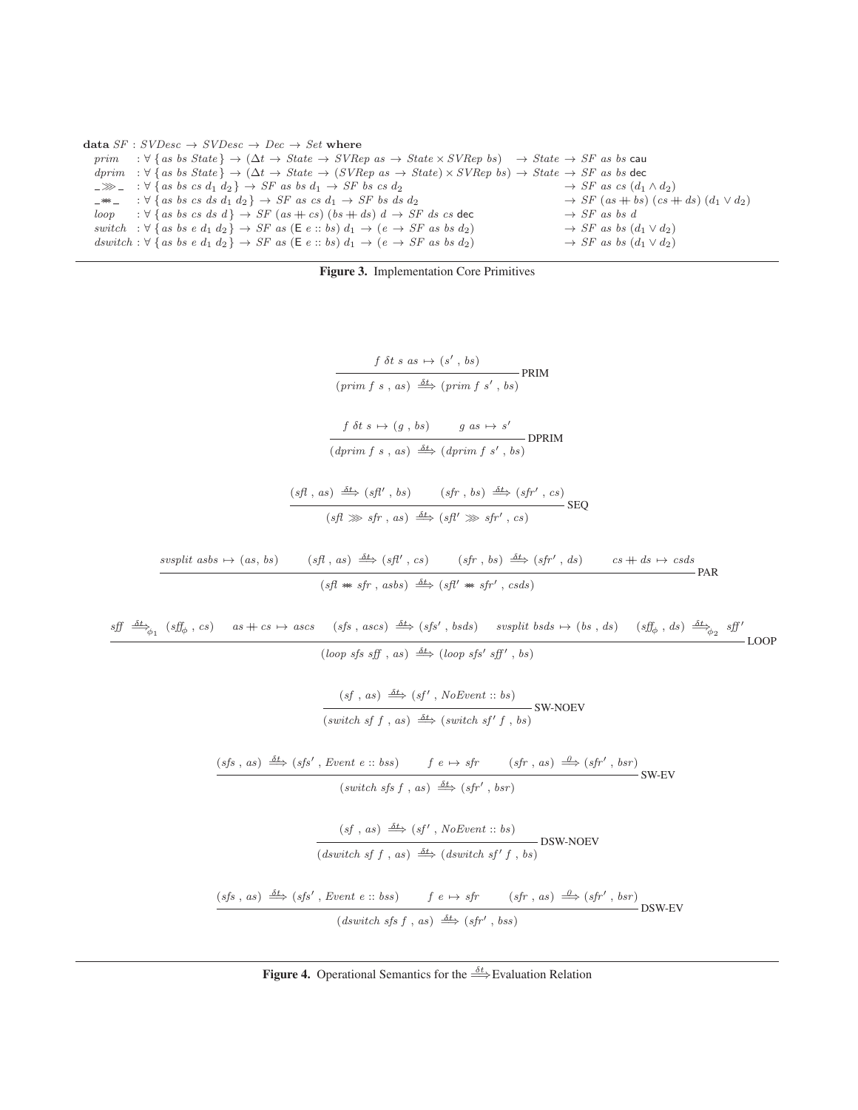```
data SF : SVDesc \rightarrow SVDesc \rightarrow Dec \rightarrow Set where
   prim : \forall {as bs State } \rightarrow (\Delta t \rightarrow State \rightarrow SVRep as \rightarrow State \times SVRep bs) \rightarrow State \rightarrow SF as bs cau
   dprim : \forall { as bs State } → (\Delta t → State → (SVRep as → State) × SVRep bs) → State → SF as bs dec<br>
-\gg \rightarrow \forall { as bs cs d<sub>1</sub> d<sub>2</sub>} → SF as bs d<sub>1</sub> → SF bs cs d<sub>2</sub> \rightarrow SF as cs (d<sub>1</sub> ∧ d<sub>2</sub>)
   \Rightarrow \Rightarrow \Rightarrow \forall { as bs cs d<sub>1</sub> d<sub>2</sub>} \rightarrow SF as bs d<sub>1</sub> \rightarrow SF bs cs d<sub>2</sub> \rightarrow SF as cs (d<sub>1</sub> ∧ d<sub>2</sub>)<br>
\Rightarrow \Rightarrow \forall { as bs cs ds d<sub>1</sub> d<sub>2</sub>} \rightarrow SF as cs d<sub>1</sub> \rightarrow SF bs ds d<sub>2</sub> \rightarrow SF (as + bs) (cs 
       * : \forall {as bs cs ds d<sub>1</sub> d<sub>2</sub>} → SF as cs d<sub>1</sub> → SF bs ds d<sub>2</sub> \rightarrow SF (as ++ bs) (cs ++ ds) (d<sub>1</sub> \lor d<sub>2</sub>)
    loop : \forall \{ as \; bs \; cs \; ds \; d \} \rightarrow SF \; (as + cs) \; (bs + ds) \; d \rightarrow SF \; ds \; cs \; dec \rightarrow SF \; as \; bs \; ds \; d \}switch : \forall \{as \; bs \; e \; d_1 \; d_2\} \rightarrow SF \; as \; (E \; e :: bs) \; d_1 \rightarrow (e \rightarrow SF \; as \; bs \; d_2) \rightarrow SF \; as \; bs \; (d_1 \vee d_2)dswitch : \forall \{as \; bs \; e \; d_1 \; d_2\} \rightarrow SF \; as \; (E \; e \; \therefore \; bs) \; d_1 \rightarrow (e \rightarrow SF \; as \; bs \; d_2) \rightarrow SF \; as \; bs \; (d_1 \vee d_2)
```


$$
\int \delta t \ s \ as \rightarrow (s', bs)
$$
\n
$$
(prim f s, as) \xrightarrow{\delta t} (prim f s', bs)
$$
\n
$$
[prim f s, as) \xrightarrow{\delta t} (drim f s', bs)
$$
\n
$$
[derim f s, as) \xrightarrow{\delta t} (derim f s', bs)
$$
\n
$$
[derim f s, as) \xrightarrow{\delta t} (aprim f s', bs)
$$
\n
$$
[sf, as) \xrightarrow{\delta t} (sf', bs) \xrightarrow{\delta t} (sf', cs)
$$
\n
$$
[sf, as) \xrightarrow{\delta t} (sf', bs) \xrightarrow{\delta t} (sf', cs)
$$
\n
$$
[sf, as) \xrightarrow{\delta t} (sf', as) \xrightarrow{\delta t} (sf', cs)
$$
\n
$$
[sf, as) \xrightarrow{\delta t} (sf', as) \xrightarrow{\delta t} (sf', as) \xrightarrow{\delta t} (sf', as) \xrightarrow{\delta t} (sf', as)
$$
\n
$$
[sf, as) \xrightarrow{\delta t} (sf', as) \xrightarrow{\delta t} (sf', as) \xrightarrow{\delta t} (sf', as)
$$
\n
$$
[sf, as) \xrightarrow{\delta t} (sf', bas) \xrightarrow{\delta t} (sf', bas)
$$
\n
$$
[str, as) \xrightarrow{\delta t} (st, as) \xrightarrow{\delta t} (st, as) \xrightarrow{\delta t} (st, as) \xrightarrow{\delta t} (st, as) \xrightarrow{\delta t} (st, as) \xrightarrow{\delta t} (st, as) \xrightarrow{\delta t} (st, as) \xrightarrow{\delta t} (st, as) \xrightarrow{\delta t} (st, as) \xrightarrow{\delta t} (st, as) \xrightarrow{\delta t} (st, as) \xrightarrow{\delta t} (st, as) \xrightarrow{\delta t} (st, as) \xrightarrow{\delta t} (st, as) \xrightarrow{\delta t} (st, as) \xrightarrow{\delta t} (st, as) \xrightarrow{\delta t} (st, as) \xrightarrow{\delta t} (st, as) \xrightarrow{\delta t} (st, as) \xrightarrow{\delta t} (st, as) \xrightarrow{\delta t} (st, as) \xrightarrow{\delta t} (st, as) \xrightarrow{\delta t} (st, as) \xrightarrow{\delta t} (st, as) \xrightarrow{\delta t} (st, as) \xrightarrow{\delta t} (st, as) \xrightarrow{\delta t} (st, as) \xrightarrow{\delta t} (st, as) \xrightarrow{\delta t
$$

Figure 4. Operational Semantics for the  $\stackrel{\delta t}{\Longrightarrow}$  Evaluation Relation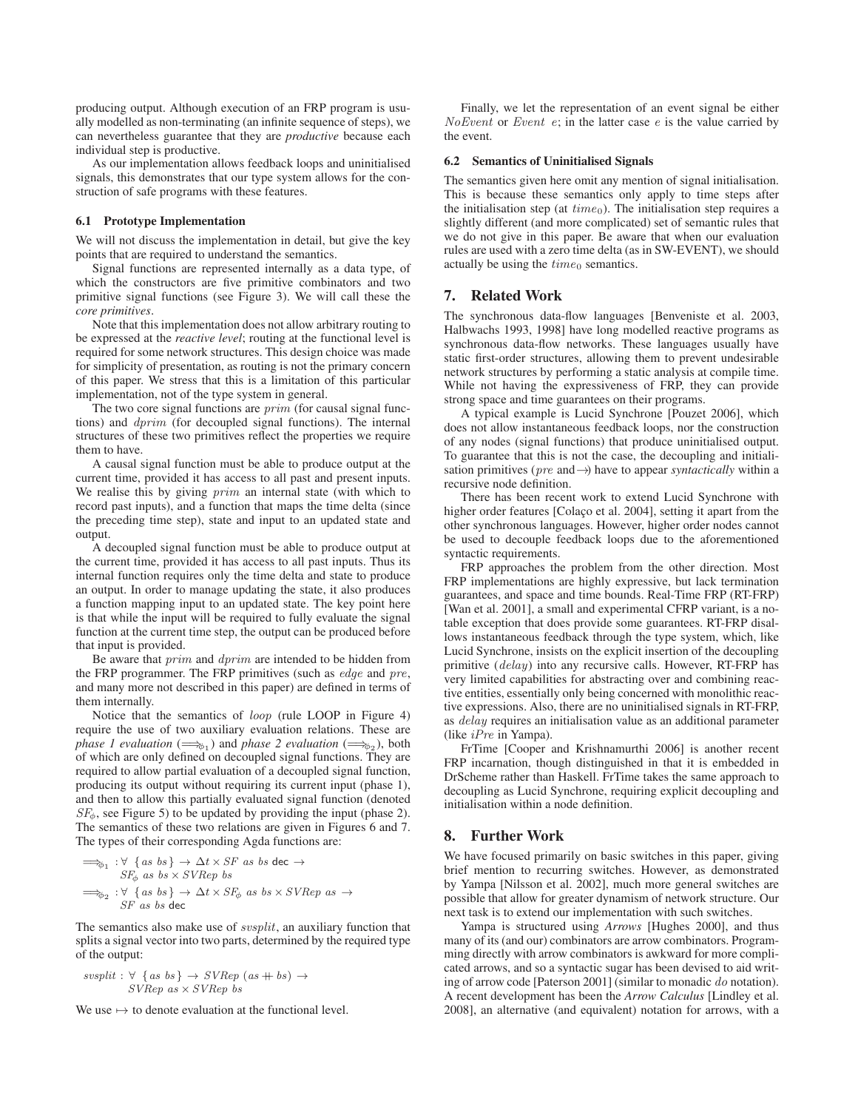producing output. Although execution of an FRP program is usually modelled as non-terminating (an infinite sequence of steps), we can nevertheless guarantee that they are *productive* because each individual step is productive.

As our implementation allows feedback loops and uninitialised signals, this demonstrates that our type system allows for the construction of safe programs with these features.

#### 6.1 Prototype Implementation

We will not discuss the implementation in detail, but give the key points that are required to understand the semantics.

Signal functions are represented internally as a data type, of which the constructors are five primitive combinators and two primitive signal functions (see Figure 3). We will call these the *core primitives*.

Note that this implementation does not allow arbitrary routing to be expressed at the *reactive level*; routing at the functional level is required for some network structures. This design choice was made for simplicity of presentation, as routing is not the primary concern of this paper. We stress that this is a limitation of this particular implementation, not of the type system in general.

The two core signal functions are  $prim$  (for causal signal functions) and dprim (for decoupled signal functions). The internal structures of these two primitives reflect the properties we require them to have.

A causal signal function must be able to produce output at the current time, provided it has access to all past and present inputs. We realise this by giving *prim* an internal state (with which to record past inputs), and a function that maps the time delta (since the preceding time step), state and input to an updated state and output.

A decoupled signal function must be able to produce output at the current time, provided it has access to all past inputs. Thus its internal function requires only the time delta and state to produce an output. In order to manage updating the state, it also produces a function mapping input to an updated state. The key point here is that while the input will be required to fully evaluate the signal function at the current time step, the output can be produced before that input is provided.

Be aware that prim and dprim are intended to be hidden from the FRP programmer. The FRP primitives (such as edge and pre, and many more not described in this paper) are defined in terms of them internally.

Notice that the semantics of loop (rule LOOP in Figure 4) require the use of two auxiliary evaluation relations. These are *phase 1 evaluation* ( $\Longrightarrow_{\phi_1}$ ) and *phase 2 evaluation* ( $\Longrightarrow_{\phi_2}$ ), both of which are only defined on decoupled signal functions. They are required to allow partial evaluation of a decoupled signal function, producing its output without requiring its current input (phase 1), and then to allow this partially evaluated signal function (denoted  $SF_{\phi}$ , see Figure 5) to be updated by providing the input (phase 2). The semantics of these two relations are given in Figures 6 and 7. The types of their corresponding Agda functions are:

$$
\begin{aligned}\n\implies_{\phi_1} &:\forall \ \{ \text{as } \text{bs} \} \to \Delta t \times SF \ \text{as} \ \text{bs} \ \text{dec} \to \\
& SF_{\phi} \ \text{as} \ \text{bs} \times SVRep \ \text{bs} \\
\implies_{\phi_2} &:\forall \ \{ \text{as } \text{bs} \} \to \Delta t \times SF_{\phi} \ \text{as} \ \text{bs} \times SVRep \ \text{as} \to \\
& SF \ \text{as} \ \text{bs} \ \text{dec}\n\end{aligned}
$$

The semantics also make use of *svsplit*, an auxiliary function that splits a signal vector into two parts, determined by the required type of the output:

$$
svsplit : \forall \{as \; bs\} \rightarrow \text{SVRep} \;(as + bs) \rightarrow \text{SVRep} \; as \times \text{SVRep} \; bs
$$

We use  $\mapsto$  to denote evaluation at the functional level.

Finally, we let the representation of an event signal be either  $NoEvent$  or *Event*  $e$ ; in the latter case  $e$  is the value carried by the event.

#### 6.2 Semantics of Uninitialised Signals

The semantics given here omit any mention of signal initialisation. This is because these semantics only apply to time steps after the initialisation step (at  $time_0$ ). The initialisation step requires a slightly different (and more complicated) set of semantic rules that we do not give in this paper. Be aware that when our evaluation rules are used with a zero time delta (as in SW-EVENT), we should actually be using the  $time_0$  semantics.

#### 7. Related Work

The synchronous data-flow languages [Benveniste et al. 2003, Halbwachs 1993, 1998] have long modelled reactive programs as synchronous data-flow networks. These languages usually have static first-order structures, allowing them to prevent undesirable network structures by performing a static analysis at compile time. While not having the expressiveness of FRP, they can provide strong space and time guarantees on their programs.

A typical example is Lucid Synchrone [Pouzet 2006], which does not allow instantaneous feedback loops, nor the construction of any nodes (signal functions) that produce uninitialised output. To guarantee that this is not the case, the decoupling and initialisation primitives (*pre* and  $\rightarrow$ ) have to appear *syntactically* within a recursive node definition.

There has been recent work to extend Lucid Synchrone with higher order features [Colaço et al. 2004], setting it apart from the other synchronous languages. However, higher order nodes cannot be used to decouple feedback loops due to the aforementioned syntactic requirements.

FRP approaches the problem from the other direction. Most FRP implementations are highly expressive, but lack termination guarantees, and space and time bounds. Real-Time FRP (RT-FRP) [Wan et al. 2001], a small and experimental CFRP variant, is a notable exception that does provide some guarantees. RT-FRP disallows instantaneous feedback through the type system, which, like Lucid Synchrone, insists on the explicit insertion of the decoupling primitive (delay) into any recursive calls. However, RT-FRP has very limited capabilities for abstracting over and combining reactive entities, essentially only being concerned with monolithic reactive expressions. Also, there are no uninitialised signals in RT-FRP, as delay requires an initialisation value as an additional parameter (like  $iPre$  in Yampa).

FrTime [Cooper and Krishnamurthi 2006] is another recent FRP incarnation, though distinguished in that it is embedded in DrScheme rather than Haskell. FrTime takes the same approach to decoupling as Lucid Synchrone, requiring explicit decoupling and initialisation within a node definition.

## 8. Further Work

We have focused primarily on basic switches in this paper, giving brief mention to recurring switches. However, as demonstrated by Yampa [Nilsson et al. 2002], much more general switches are possible that allow for greater dynamism of network structure. Our next task is to extend our implementation with such switches.

Yampa is structured using *Arrows* [Hughes 2000], and thus many of its (and our) combinators are arrow combinators. Programming directly with arrow combinators is awkward for more complicated arrows, and so a syntactic sugar has been devised to aid writing of arrow code [Paterson 2001] (similar to monadic do notation). A recent development has been the *Arrow Calculus* [Lindley et al. 2008], an alternative (and equivalent) notation for arrows, with a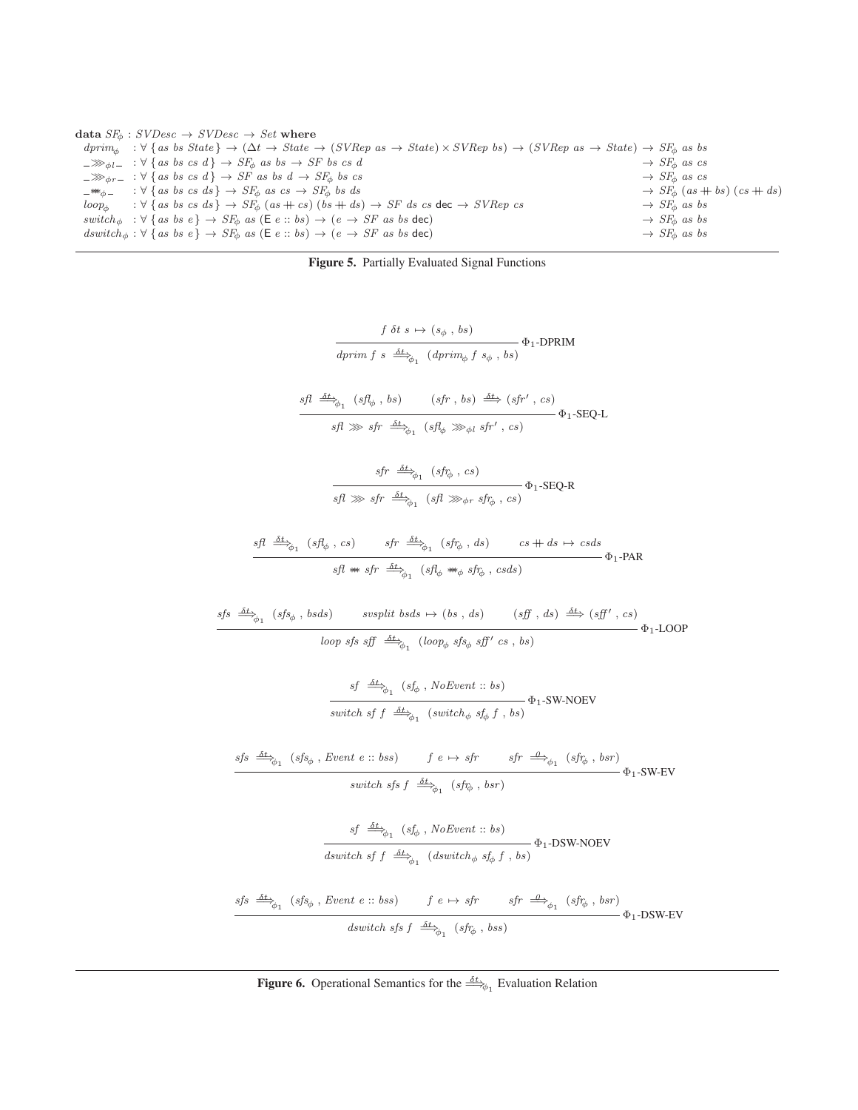| data $SF_{\phi}$ : SVDesc $\rightarrow$ SVDesc $\rightarrow$ Set where                                                                                                                                                                                     |                                                     |
|------------------------------------------------------------------------------------------------------------------------------------------------------------------------------------------------------------------------------------------------------------|-----------------------------------------------------|
| $dprim_{\phi} : \forall \{ \text{as bs State} \} \rightarrow (\Delta t \rightarrow State \rightarrow (SVRep \text{ as } \rightarrow State) \times SVRep \text{ as}) \rightarrow (SVRep \text{ as } \rightarrow State) \rightarrow SF_{\phi} \text{ as bs}$ |                                                     |
| $\Rightarrow$ $\gg$ <sub><math>\phi l -</math></sub> : $\forall$ { as bs cs d} $\rightarrow$ $SF_{\phi}$ as bs $\rightarrow$ SF bs cs d                                                                                                                    | $\rightarrow$ SF <sub><math>\phi</math></sub> as cs |
| $\Rightarrow$ $\gg$ <sub><math>\phi</math>r</sub> : $\forall$ { as bs cs d} $\rightarrow$ <i>SF</i> as bs $d \rightarrow$ <i>SF</i> <sub><math>\phi</math></sub> bs cs                                                                                     | $\rightarrow$ SF <sub>6</sub> as cs                 |
| $-\ast\ast_{\phi-}$ : $\forall \{ as \; bs \; cs \; ds \} \rightarrow SF_{\phi} \; as \; cs \rightarrow SF_{\phi} \; bs \; ds$                                                                                                                             | $\rightarrow$ SF <sub>6</sub> (as + bs) (cs + ds)   |
| $loop_{\phi}$ : $\forall$ { as bs cs ds} $\rightarrow$ $SF_{\phi}$ (as + cs) (bs + ds) $\rightarrow$ SF ds cs dec $\rightarrow$ SVRep cs                                                                                                                   | $\rightarrow$ SF <sub><math>\phi</math></sub> as bs |
| switch $\phi : \forall \{ as \; bs \; e \} \rightarrow SF_{\phi} \; as \; (E \; e :: bs) \rightarrow (e \rightarrow SF \; as \; bs \; dec)$                                                                                                                | $\rightarrow$ SF <sub><math>\phi</math></sub> as bs |
| $dswitch_{\phi}: \forall \{ as \; bs \; e \} \rightarrow SF_{\phi} \; as \; (E \; e::bs) \rightarrow (e \rightarrow SF \; as \; bs \; dec)$                                                                                                                | $\rightarrow$ SF <sub>6</sub> as bs                 |

|  |  | Figure 5. Partially Evaluated Signal Functions |  |  |
|--|--|------------------------------------------------|--|--|
|--|--|------------------------------------------------|--|--|

$$
\int \delta t \ s \mapsto (s_{\phi} \ , bs)
$$
\n
$$
\frac{f \ \delta t \ s \mapsto (s_{\phi} \ , bs)}{\text{dprim } f \ s \xrightarrow{\delta t_{\phi}} (dprim_{\phi} f \ s_{\phi} \ , bs)} \ \frac{f_1 \ \Delta t}{\text{dprim } f_2 \ s_{\phi_1} \ (sff_{\phi} \ , bs)} \ \frac{f_1 \ \Delta t}{\text{diam } f_2 \ s_{\phi_1} \ (sff_{\phi} \gg_{\phi} t \ sfrfr' \ , cs)} \ \frac{f_1 \ \Delta t}{\text{diam } f_2 \ s_{\phi_1} \ (sff_{\phi} \gg_{\phi} t \ sfrfr' \ , cs)} \ \frac{f_1 \ \Delta t}{\text{diam } f_2 \ s_{\phi_1} \ (sff_{\phi} \ , cs)} \ \frac{f_1 \ \Delta t}{\text{diam } f_2 \ s_{\phi_1} \ (sff_{\phi} \ , cs)} \ \frac{f_1 \ \Delta t}{\text{diam } f_2 \ s_{\phi_1} \ (sff_{\phi} \ , cs)} \ \frac{f_1 \ \Delta t}{\text{diam } f_2 \ s_{\phi_1} \ (sff_{\phi} \ , ds)} \ \frac{f_1 \ \Delta t}{\text{diam } f_2 \ s_{\phi_1} \ (sff_{\phi} \ , ds)} \ \frac{f_1 \ \Delta t}{\text{diam } f_2 \ s_{\phi_1} \ (sff_{\phi} \ , ds)} \ \frac{f_1 \ \Delta t}{\text{diam } f_2 \ s_{\phi_1} \ (sff_{\phi} \ , ds)} \ \frac{f_1 \ \Delta t}{\text{diam } f_2 \ s_{\phi_1} \ (sff_{\phi} \ , ds)} \ \frac{f_1 \ \Delta t}{\text{diam } f_2 \ s_{\phi_1} \ (sfg_{\phi} \ , ds)} \ \frac{f_1 \ \Delta t}{\text{diam } f_2 \ s_{\phi_1} \ (sfg_{\phi} \ , ds)} \ \frac{f_1 \ \Delta t}{\text{diam } f_2 \ s_{\phi_1} \ (sfg_{\phi} \ , ds)} \ \frac{f_1 \ \Delta t}{\text{diam } f_2 \ s_{\phi_1} \ (sfg_{\phi} \ , ds)} \ \frac{f_1 \ \Delta t}{\text{diam } f_2 \ s_{\phi_1} \ (
$$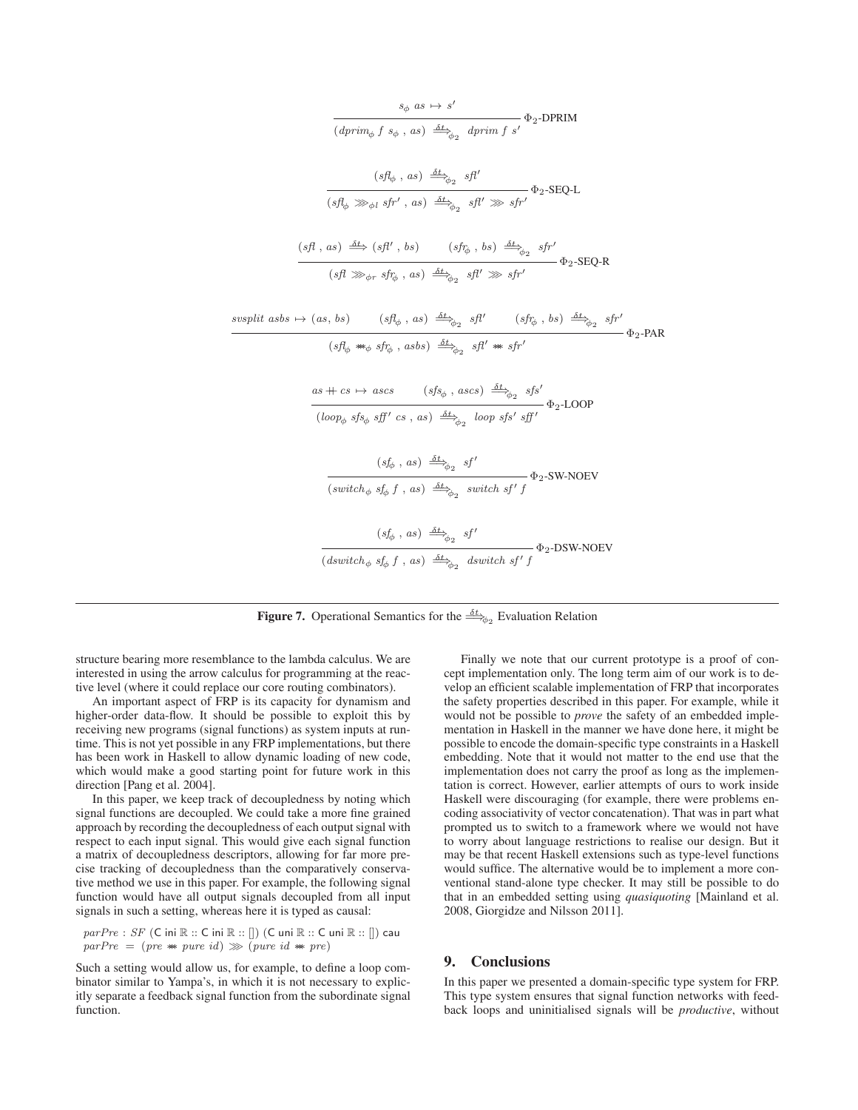| $s_{\phi}$ as $\mapsto$ s'<br>$\longrightarrow$ $\Phi_2$ -DPRIM                                                                                                                                                                                                                                                               |
|-------------------------------------------------------------------------------------------------------------------------------------------------------------------------------------------------------------------------------------------------------------------------------------------------------------------------------|
| $(dprim_{\phi} f s_{\phi} , as) \stackrel{\Delta t}{\Longrightarrow}_{\phi_2} dprim f s'$                                                                                                                                                                                                                                     |
| $(sf\!d}_{\phi}$ , as) $\xrightarrow{\delta t} s f\!d'$<br>— $\Phi_2$ -SEQ-L<br>$(s\!f\!f_\phi \ggg_{\phi l} sfr'$ , as) $\stackrel{\delta t \to}{\longrightarrow}_{\phi 2} sfl' \ggg sfr'$                                                                                                                                   |
| $(sft, as) \stackrel{\Delta t}{\Longrightarrow} (sft', bs)$ $(sfr_{\phi}, bs) \stackrel{\Delta t}{\Longrightarrow}_{\phi_2} sfr'$<br>$-\Phi_2$ -SEQ-R<br>$(s\mathit{fl}\,\gg_{\phi\mathit{r}}\,\mathit{sfr}_{\phi}$ , as) $\overset{\delta t\cdot}{\longrightarrow}_{\phi_2}\,\mathit{sfl}'\gg\mathit{sfr}'$                  |
| svsplit asbs $\mapsto$ (as, bs) $(sf_{\phi}$ , as) $\frac{\delta f_{\phi}}{\phi_2} s f'$ $(sf_{\phi}$ , bs) $\frac{\delta f_{\phi}}{\phi_2} s f'$ $\phi_2$ -PAR<br>$(s\mathit{fl}_\phi \ast\mathit{sfr}_\phi \mathit{sfr}_\phi, \mathit{asbs}) \stackrel{\delta t}{\longrightarrow}_{\phi_2} s\mathit{fl}' \ast\mathit{sfr}'$ |
| $as + cs \mapsto ascs$ $(sfs_{\phi} , ascs) \xrightarrow{\underline{\delta t}}{}_{\phi_2} sfs'$<br>$-\Phi_2$ -LOOP<br>$(log p_{\phi} s f s_{\phi} s f f' cs, as) \stackrel{\delta t}{\longrightarrow}_{\phi_2} log s f s' s f f'$                                                                                             |
| $(sf_{\phi} \; , \; as) \; \stackrel{\delta t}{\Longrightarrow}_{\phi_2} \; sf'$<br>$-\Phi_2$ -SW-NOEV<br>$(s with \phi \ s f_{\phi} \ f\ ,\ as) \xrightarrow{\Delta t}_{\phi_2} switch \ sf' f$                                                                                                                              |
| $(s f_{\phi}, \, as) \stackrel{\delta t}{\longrightarrow}_{\phi_2} s f'$<br>$\longrightarrow$ $\Phi_2$ -DSW-NOEV<br>$(dswitch_{\phi} s f_{\phi} f, as) \stackrel{\delta t}{\longrightarrow}_{\phi_2} ds with s f' f$                                                                                                          |

**Figure 7.** Operational Semantics for the  $\stackrel{\delta t}{\Longrightarrow}_\phi_2$  Evaluation Relation

structure bearing more resemblance to the lambda calculus. We are interested in using the arrow calculus for programming at the reactive level (where it could replace our core routing combinators).

An important aspect of FRP is its capacity for dynamism and higher-order data-flow. It should be possible to exploit this by receiving new programs (signal functions) as system inputs at runtime. This is not yet possible in any FRP implementations, but there has been work in Haskell to allow dynamic loading of new code, which would make a good starting point for future work in this direction [Pang et al. 2004].

In this paper, we keep track of decoupledness by noting which signal functions are decoupled. We could take a more fine grained approach by recording the decoupledness of each output signal with respect to each input signal. This would give each signal function a matrix of decoupledness descriptors, allowing for far more precise tracking of decoupledness than the comparatively conservative method we use in this paper. For example, the following signal function would have all output signals decoupled from all input signals in such a setting, whereas here it is typed as causal:

 $parPre : SF$  (C ini  $\mathbb{R} :: C$  ini  $\mathbb{R} :: []$ ) (C uni  $\mathbb{R} :: C$  uni  $\mathbb{R} :: []$ ) cau  $parPre = (pre \#* pure id) \gg (pure id \#* pre)$ 

Such a setting would allow us, for example, to define a loop combinator similar to Yampa's, in which it is not necessary to explicitly separate a feedback signal function from the subordinate signal function.

Finally we note that our current prototype is a proof of concept implementation only. The long term aim of our work is to develop an efficient scalable implementation of FRP that incorporates the safety properties described in this paper. For example, while it would not be possible to *prove* the safety of an embedded implementation in Haskell in the manner we have done here, it might be possible to encode the domain-specific type constraints in a Haskell embedding. Note that it would not matter to the end use that the implementation does not carry the proof as long as the implementation is correct. However, earlier attempts of ours to work inside Haskell were discouraging (for example, there were problems encoding associativity of vector concatenation). That was in part what prompted us to switch to a framework where we would not have to worry about language restrictions to realise our design. But it may be that recent Haskell extensions such as type-level functions would suffice. The alternative would be to implement a more conventional stand-alone type checker. It may still be possible to do that in an embedded setting using *quasiquoting* [Mainland et al. 2008, Giorgidze and Nilsson 2011].

# 9. Conclusions

In this paper we presented a domain-specific type system for FRP. This type system ensures that signal function networks with feedback loops and uninitialised signals will be *productive*, without